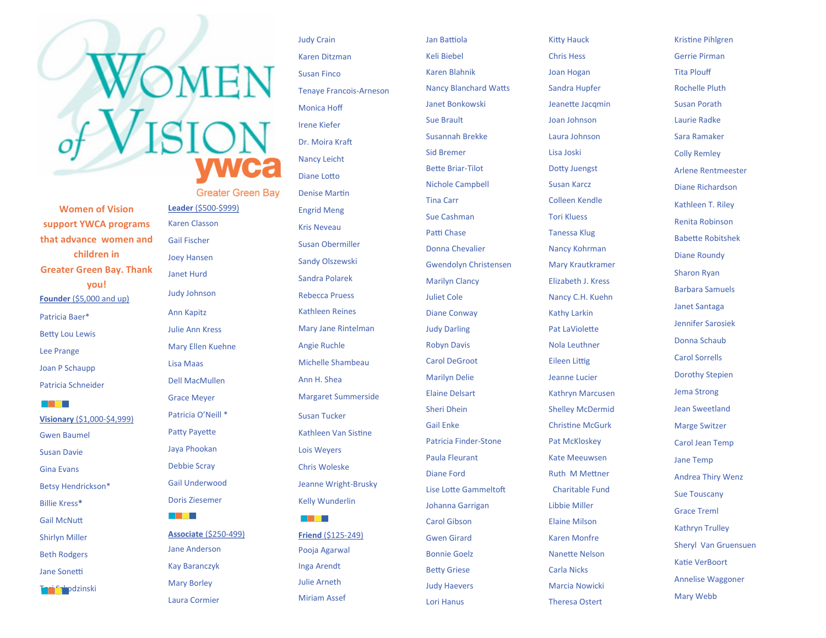**Women of Vision support YWCA programs that advance women and children in Greater Green Bay. Thank you! Founder** (\$5,000 and up) Patricia Baer\* Betty Lou Lewis Lee Prange Joan P Schaupp

Patricia Schneider

a sa Bara **Visionary** (\$1,000 -\$4,999) Gwen Baumel Susan Davie Gina Evans Betsy Hendrickson\* Billie Kress **\*** Gail McNutt Shirlyn Miller Beth Rodgers Jane Sonetti

Tori Szkodzinski

Gail Fischer Joey Hansen Janet Hurd Judy Johnson Ann Kapitz Julie Ann Kress Mary Ellen Kuehne Lisa Maas Dell MacMullen Grace Meyer Patricia O'Neill \* Patty Payette Jaya Phookan Debbie Scray Gail Underwood Doris Ziesemer

**Leader** (\$500 -\$999) Karen Classon

**Greater Green Bay** 

**Associate** (\$250 -499) Jane Anderson Kay Baranczyk Mary Borley Laura Cormier

a shekara

Judy Crain Karen Ditzman Susan Finco Tenaye Francois -Arneson Monica Hoff Irene Kiefer Dr. Moira Kraft Nancy Leicht Diane Lotto Denise Martin Engrid Meng Kris Neveau Susan Obermiller Sandy Olszewski Sandra Polarek Rebecca Pruess Kathleen Reines Mary Jane Rintelman Angie Ruchle Michelle Shambeau Ann H. Shea Margaret Summerside Susan Tucker Kathleen Van Sistine Lois Weyers Chris Woleske Jeanne Wright -Brusky Kelly Wunderlin a shekara

**Friend** (\$125 -249) Pooja Agarwal Inga Arendt Julie Arneth Miriam Assef

Jan Battiola Keli Biebel Karen Blahnik Nancy Blanchard Watts Janet Bonkowski Sue Brault Susannah Brekke Sid Bremer Bette Briar -Tilot Nichole Campbell Tina Carr Sue Cashman Patti Chase Donna Chevalier Gwendolyn Christensen Marilyn Clancy Juliet Cole Diane Conway Judy Darling Robyn Davis Carol DeGroot Marilyn Delie Elaine Delsart Sheri Dhein Gail Enke Patricia Finder -Stone Paula Fleurant Diane Ford Lise Lotte Gammeltoft Johanna Garrigan Carol Gibson Gwen Girard Bonnie Goelz Betty Griese Judy Haevers Lori Hanus

Kitty Hauck Chris Hess Joan Hogan Sandra Hupfer Jeanette Jacqmin Joan Johnson Laura Johnson Lisa Joski Dotty Juengst Susan Karcz Colleen Kendle Tori Kluess Tanessa Klug Nancy Kohrman Mary Krautkramer Elizabeth J. Kress Nancy C.H. Kuehn Kathy Larkin Pat LaViolette Nola Leuthner Eileen Littig Jeanne Lucier Kathryn Marcusen Shelley McDermid Christine McGurk Pat McKloskey Kate Meeuwsen Ruth M Mettner Charitable Fund Libbie Miller Elaine Milson Karen Monfre Nanette Nelson Carla Nicks Marcia Nowicki Theresa Ostert

Kristine Pihlgren Gerrie Pirman Tita Plouff Rochelle Pluth Susan Porath Laurie Radke Sara Ramaker Colly Remley Arlene Rentmeester Diane Richardson Kathleen T. Riley Renita Robinson Babette Robitshek Diane Roundy Sharon Ryan Barbara Samuels Janet Santaga Jennifer Sarosiek Donna Schaub Carol Sorrells Dorothy Stepien Jema Strong Jean Sweetland Marge Switzer Carol Jean Temp Jane Temp Andrea Thiry Wenz Sue Touscany Grace Treml Kathryn Trulley Sheryl Van Gruensuen Katie VerBoort Annelise Waggoner Mary Webb